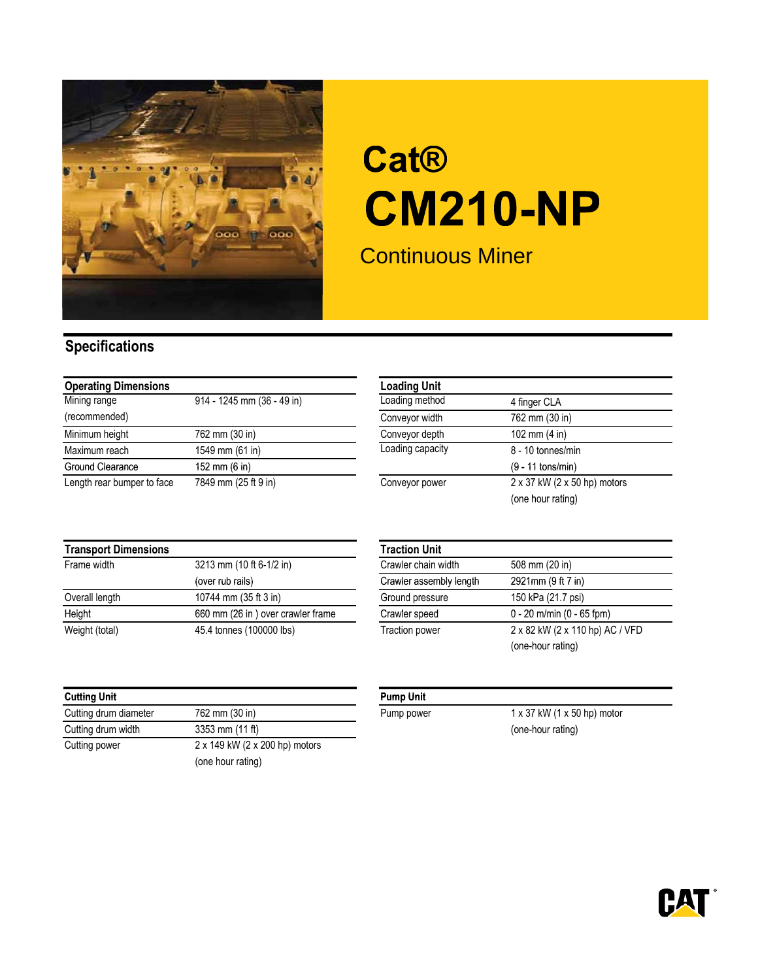

## **Cat® CM210-NP**

Continuous Miner

## **Specifications**

| <b>Operating Dimensions</b> |                            | <b>Loading Unit</b> |                                             |
|-----------------------------|----------------------------|---------------------|---------------------------------------------|
| Mining range                | 914 - 1245 mm (36 - 49 in) | Loading method      | 4 finger CLA                                |
| (recommended)               |                            | Conveyor width      | 762 mm (30 in)                              |
| Minimum height              | 762 mm (30 in)             | Conveyor depth      | 102 mm $(4 \text{ in})$                     |
| Maximum reach               | 1549 mm (61 in)            | Loading capacity    | 8 - 10 tonnes/min                           |
| Ground Clearance            | 152 mm (6 in)              |                     | $(9 - 11$ tons/min)                         |
| Length rear bumper to face  | 7849 mm (25 ft 9 in)       | Conveyor power      | $2 \times 37$ kW ( $2 \times 50$ hp) motors |

| <b>Loading Unit</b> |                                             |
|---------------------|---------------------------------------------|
| Loading method      | 4 finger CLA                                |
| Conveyor width      | 762 mm (30 in)                              |
| Conveyor depth      | 102 mm $(4 \text{ in})$                     |
| Loading capacity    | 8 - 10 tonnes/min                           |
|                     | $(9 - 11$ tons/min)                         |
| Conveyor power      | $2 \times 37$ kW ( $2 \times 50$ hp) motors |
|                     | (one hour rating)                           |

| <b>Transport Dimensions</b> |                                   | <b>Traction Unit</b>    |                                 |
|-----------------------------|-----------------------------------|-------------------------|---------------------------------|
| Frame width                 | 3213 mm (10 ft 6-1/2 in)          | Crawler chain width     | 508 mm (20 in)                  |
|                             | (over rub rails)                  | Crawler assembly length | 2921mm (9 ft 7 in)              |
| Overall length              | 10744 mm (35 ft 3 in)             | Ground pressure         | 150 kPa (21.7 psi)              |
| Height                      | 660 mm (26 in) over crawler frame | Crawler speed           | $0 - 20$ m/min (0 - 65 fpm)     |
| Weight (total)              | 45.4 tonnes (100000 lbs)          | Traction power          | 2 x 82 kW (2 x 110 hp) AC / VFD |

| <b>Cutting Unit</b>   |                                |
|-----------------------|--------------------------------|
| Cutting drum diameter | 762 mm (30 in)                 |
| Cutting drum width    | 3353 mm (11 ft)                |
| Cutting power         | 2 x 149 kW (2 x 200 hp) motors |
|                       | (one hour rating)              |

| <b>Traction Unit</b>    |                                 |  |
|-------------------------|---------------------------------|--|
| Crawler chain width     | 508 mm (20 in)                  |  |
| Crawler assembly length | 2921mm (9 ft 7 in)              |  |
| Ground pressure         | 150 kPa (21.7 psi)              |  |
| Crawler speed           | $0 - 20$ m/min (0 - 65 fpm)     |  |
| <b>Traction power</b>   | 2 x 82 kW (2 x 110 hp) AC / VFD |  |
|                         | (one-hour rating)               |  |
|                         |                                 |  |

## **Pump Unit**

Pump power  $1 \times 37$  kW (1  $\times$  50 hp) motor (one-hour rating)

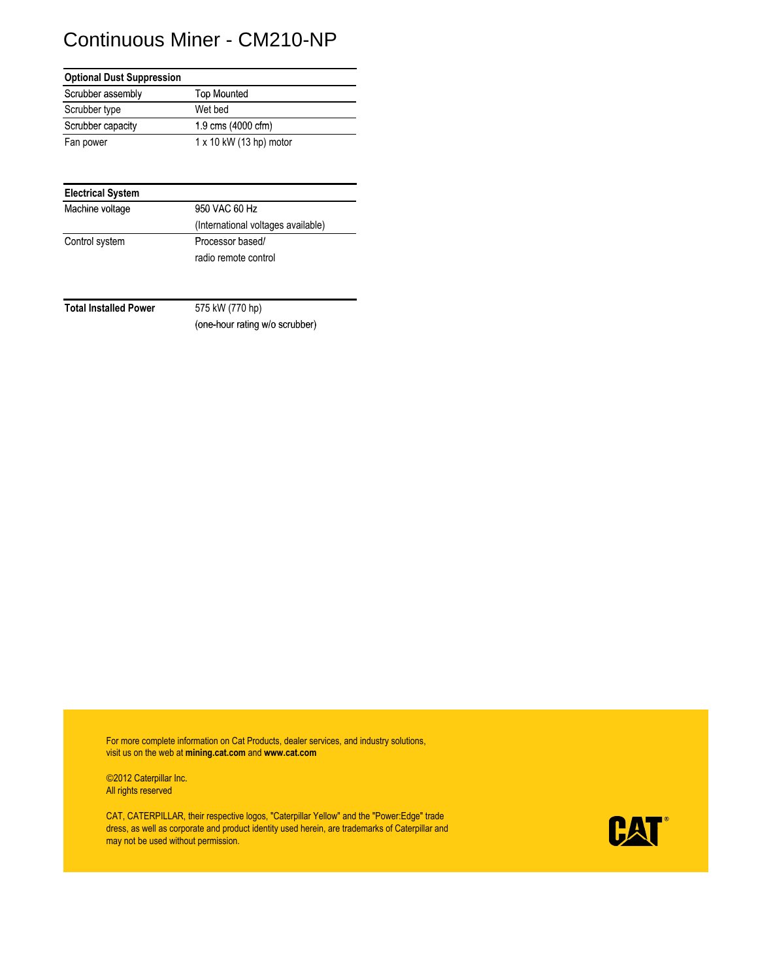## Continuous Miner - CM210-NP

| <b>Optional Dust Suppression</b> |                                |
|----------------------------------|--------------------------------|
| Scrubber assembly                | <b>Top Mounted</b>             |
| Scrubber type                    | Wet bed                        |
| Scrubber capacity                | 1.9 cms (4000 cfm)             |
| Fan power                        | $1 \times 10$ kW (13 hp) motor |

| 950 VAC 60 Hz                      |
|------------------------------------|
| (International voltages available) |
| Processor based/                   |
| radio remote control               |
|                                    |

**Total Installed Power** 575 kW (770 hp)

(one-hour rating w/o scrubber)

For more complete information on Cat Products, dealer services, and industry solutions, visit us on the web at **mining.cat.com** and **www.cat.com**

©2012 Caterpillar Inc. All rights reserved

CAT, CATERPILLAR, their respective logos, "Caterpillar Yellow" and the "Power:Edge" trade dress, as well as corporate and product identity used herein, are trademarks of Caterpillar and may not be used without permission.